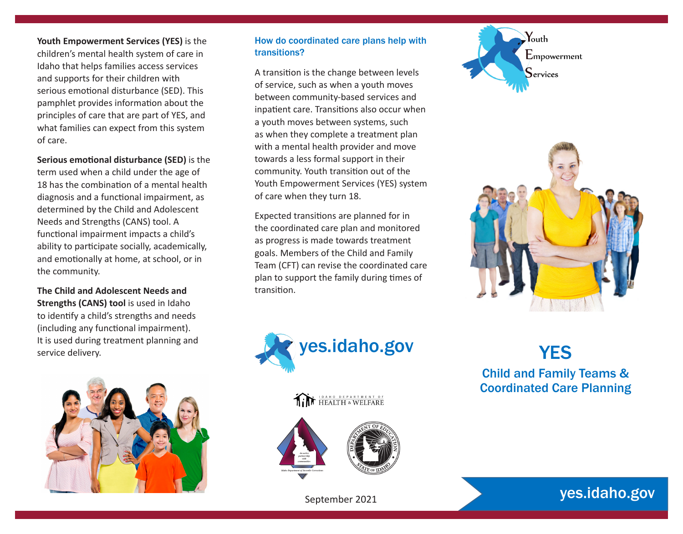**Youth Empowerment Services (YES)** is the children's mental health system of care in Idaho that helps families access services and supports for their children with serious emotional disturbance (SED). This pamphlet provides information about the principles of care that are part of YES, and what families can expect from this system of care.

**Serious emotional disturbance (SED)** is the term used when a child under the age of 18 has the combination of a mental health diagnosis and a functional impairment, as determined by the Child and Adolescent Needs and Strengths (CANS) tool. A functional impairment impacts a child's ability to participate socially, academically, and emotionally at home, at school, or in the community.

**The Child and Adolescent Needs and Strengths (CANS) tool** is used in Idaho to identify a child's strengths and needs (including any functional impairment). It is used during treatment planning and service delivery.



#### How do coordinated care plans help with transitions?

A transition is the change between levels of service, such as when a youth moves between community-based services and inpatient care. Transitions also occur when a youth moves between systems, such as when they complete a treatment plan with a mental health provider and move towards a less formal support in their community. Youth transition out of the Youth Empowerment Services (YES) system of care when they turn 18.

Expected transitions are planned for in the coordinated care plan and monitored as progress is made towards treatment goals. Members of the Child and Family Team (CFT) can revise the coordinated care plan to support the family during times of transition.



## **THEALTH & WELFARE**





September 2021







# yes.idaho.gov